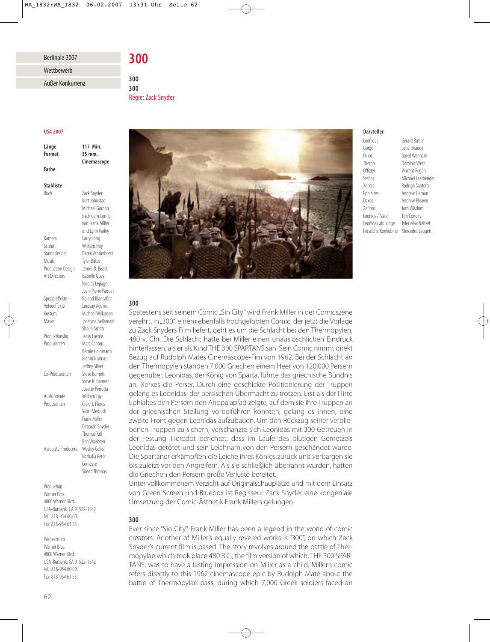# Berlinale 2007

# **Wettbewerb**

Außer Konkurrenz

**USA 2007** 

**Länge** 117 Min.<br>**Format** 35 mm. **Farbe** 

**Cinemascope Cinemascope**

117 Min.

**300**

300

**300**

Zack Snyder Kurt Johnstad Michael Gordon, nach dem Comic

**Stabliste** 

**Buch** 

von Frank Miller und Lynn Varley Kamera Larry Fong Schnitt William Hoy Sounddesign Derek Vanderhorst Musik Tyler Bates Production Design James D. Bissell Art Directors Isabelle Guay Nicolas Lepage Jean-Pierre Paquet Spezialeffekte Roland Blancaflor Videoeffekte Lindsay Adams Kostüm Michael Wilkinson Maske Jocelyne Bellemare Shaun Smith Produktionsltg. Jacky Lavoie Produzenten Marc Canton Bernie Goldmann Gianni Nunnari Jeffrey Silver Co-Produzenten Steve Barnett Steve K. Barnett Josette Perrotta Ausführende William Fay Produzenten Craig J. Flores Scott Mednick Frank Miller Deborah Snyder Thomas Tull Ben Waisbren Associate Producers Wesley Coller Nathalia Peter-Contesse

Produktion Warner Bros. 4000 Warner Blvd. USA-Burbank, CA 91522-1542 Tel.: 818-954 60 00 Fax: 818-954 61 53

Silenn Thomas

Weltvertrieb Warner Bros. 4000 Warner Blvd. USA-Burbank, CA 91522-1542 Tel.: 818-954 60 00 Fax: 818-954 61 53

# **300** Regie: Zack Snyder





# **Darsteller**

**Leonidas** Gorgo Lena Headey Dilios David Wenham Theron Dominic West Offizier Vincent Regan Stelios Michael Fassbender Xerxes Rodrigo Santoro Ephialtes Andrew Tiernan Daxos Andrew Pleavin Astinos Tom Wisdom Leonidas' Vater Tim Conolly Leonidas als Junge Tyler Max Neitzel Persische Konkubine Mercedes Leggett

Gerard Butler

# verehrt. In "300", einem ebenfalls hochgelobten Comic, der jetzt die Vorlage zu Zack Snyders Film liefert, geht es um die Schlacht bei den Thermopylen, 480 v. Chr. Die Schlacht hatte bei Miller einen unauslöschlichen Eindruck hinterlassen, als er als Kind THE 300 SPARTANS sah. Sein Comic nimmt direkt Bezug auf Rudolph Matés Cinemascope-Fim von 1962. Bei der Schlacht an den Thermopylen standen 7.000 Griechen einem Heer von 120.000 Persern gegenüber. Leonidas, der König von Sparta, führte das griechische Bündnis an, Xerxes die Perser. Durch eine geschickte Positionierung der Truppen gelang es Leonidas, der persischen Übermacht zu trotzen. Erst als der Hirte Ephialtes den Persern den Anopaiapfad zeigte, auf dem sie ihre Truppen an der griechischen Stellung vorbeiführen konnten, gelang es ihnen, eine zweite Front gegen Leonidas aufzubauen. Um den Rückzug seiner verbliebenen Truppen zu sichern, verschanzte sich Leonidas mit 300 Getreuen in der Festung. Herodot berichtet, dass im Laufe des blutigen Gemetzels Leonidas getötet und sein Leichnam von den Persern geschändet wurde. Die Spartaner erkämpften die Leiche ihres Königs zurück und verbargen sie bis zuletzt vor den Angreifern. Als sie schließlich überrannt wurden, hatten die Griechen den Persern große Verluste bereitet.

Unter vollkommenem Verzicht auf Originalschauplätze und mit dem Einsatz von Green Screen und Bluebox ist Regisseur Zack Snyder eine kongeniale Umsetzung der Comic-Ästhetik Frank Millers gelungen.

# 300

**300** Ever since "Sin City", Frank Miller has been a legend in the world of comic creators. Another of Miller's equally revered works is "300", on which Zack Snyder's current film is based. The story revolves around the battle of Ther mopylae which took place 480 B.C., the film version of which, THE 300 SPAR-TANS, was to have a lasting impression on Miller as a child. Miller's comic refers directly to this 1962 cinemascope epic by Rudolph Maté about the battle of Thermopylae pass, during which 7,000 Greek soldiers faced an